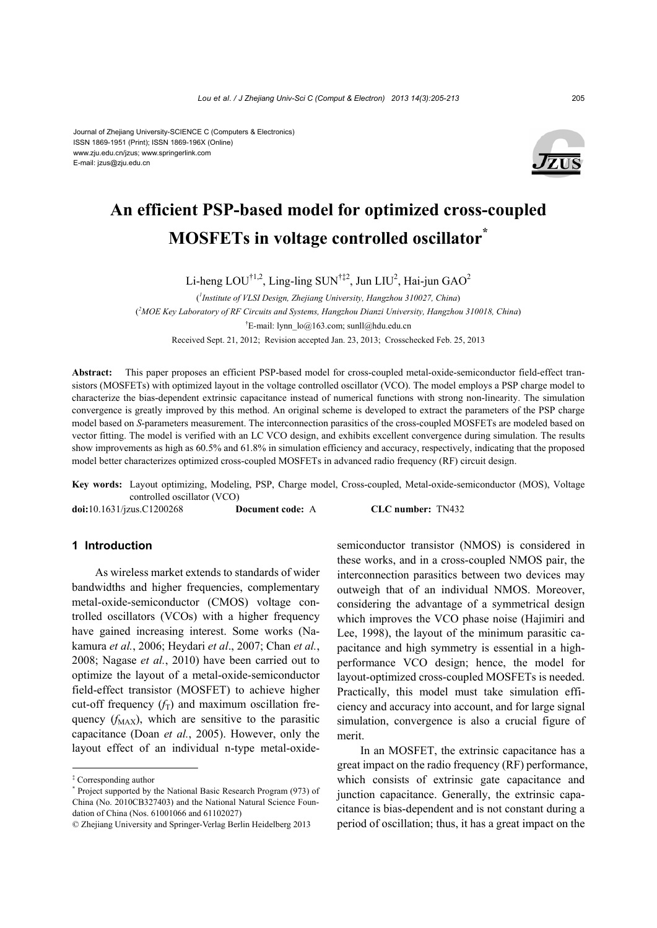#### Journal of Zhejiang University-SCIENCE C (Computers & Electronics) ISSN 1869-1951 (Print); ISSN 1869-196X (Online) www.zju.edu.cn/jzus; www.springerlink.com E-mail: jzus@zju.edu.cn



# **An efficient PSP-based model for optimized cross-coupled MOSFETs in voltage controlled oscillator\***

Li-heng  $LOU^{\dagger1,2}$ , Ling-ling SUN $^{\dagger\ddagger2}$ , Jun LIU<sup>2</sup>, Hai-jun GAO<sup>2</sup>

( *1 Institute of VLSI Design, Zhejiang University, Hangzhou 310027, China*) ( *2 MOE Key Laboratory of RF Circuits and Systems, Hangzhou Dianzi University, Hangzhou 310018, China*) † E-mail: lynn\_lo@163.com; sunll@hdu.edu.cn Received Sept. 21, 2012; Revision accepted Jan. 23, 2013; Crosschecked Feb. 25, 2013

**Abstract:** This paper proposes an efficient PSP-based model for cross-coupled metal-oxide-semiconductor field-effect transistors (MOSFETs) with optimized layout in the voltage controlled oscillator (VCO). The model employs a PSP charge model to characterize the bias-dependent extrinsic capacitance instead of numerical functions with strong non-linearity. The simulation convergence is greatly improved by this method. An original scheme is developed to extract the parameters of the PSP charge model based on *S*-parameters measurement. The interconnection parasitics of the cross-coupled MOSFETs are modeled based on vector fitting. The model is verified with an LC VCO design, and exhibits excellent convergence during simulation. The results show improvements as high as 60.5% and 61.8% in simulation efficiency and accuracy, respectively, indicating that the proposed model better characterizes optimized cross-coupled MOSFETs in advanced radio frequency (RF) circuit design.

**Key words:** Layout optimizing, Modeling, PSP, Charge model, Cross-coupled, Metal-oxide-semiconductor (MOS), Voltage controlled oscillator (VCO)

**doi:**10.1631/jzus.C1200268 **Document code:** A **CLC number:** TN432

## **1 Introduction**

As wireless market extends to standards of wider bandwidths and higher frequencies, complementary metal-oxide-semiconductor (CMOS) voltage controlled oscillators (VCOs) with a higher frequency have gained increasing interest. Some works (Nakamura *et al.*, 2006; Heydari *et al*., 2007; Chan *et al.*, 2008; Nagase *et al.*, 2010) have been carried out to optimize the layout of a metal-oxide-semiconductor field-effect transistor (MOSFET) to achieve higher cut-off frequency  $(f_T)$  and maximum oscillation frequency  $(f_{MAX})$ , which are sensitive to the parasitic capacitance (Doan *et al.*, 2005). However, only the layout effect of an individual n-type metal-oxidesemiconductor transistor (NMOS) is considered in these works, and in a cross-coupled NMOS pair, the interconnection parasitics between two devices may outweigh that of an individual NMOS. Moreover, considering the advantage of a symmetrical design which improves the VCO phase noise (Hajimiri and Lee, 1998), the layout of the minimum parasitic capacitance and high symmetry is essential in a highperformance VCO design; hence, the model for layout-optimized cross-coupled MOSFETs is needed. Practically, this model must take simulation efficiency and accuracy into account, and for large signal simulation, convergence is also a crucial figure of merit.

In an MOSFET, the extrinsic capacitance has a great impact on the radio frequency (RF) performance, which consists of extrinsic gate capacitance and junction capacitance. Generally, the extrinsic capacitance is bias-dependent and is not constant during a period of oscillation; thus, it has a great impact on the

<sup>‡</sup> Corresponding author

<sup>\*</sup> Project supported by the National Basic Research Program (973) of China (No. 2010CB327403) and the National Natural Science Foundation of China (Nos. 61001066 and 61102027)

<sup>©</sup> Zhejiang University and Springer-Verlag Berlin Heidelberg 2013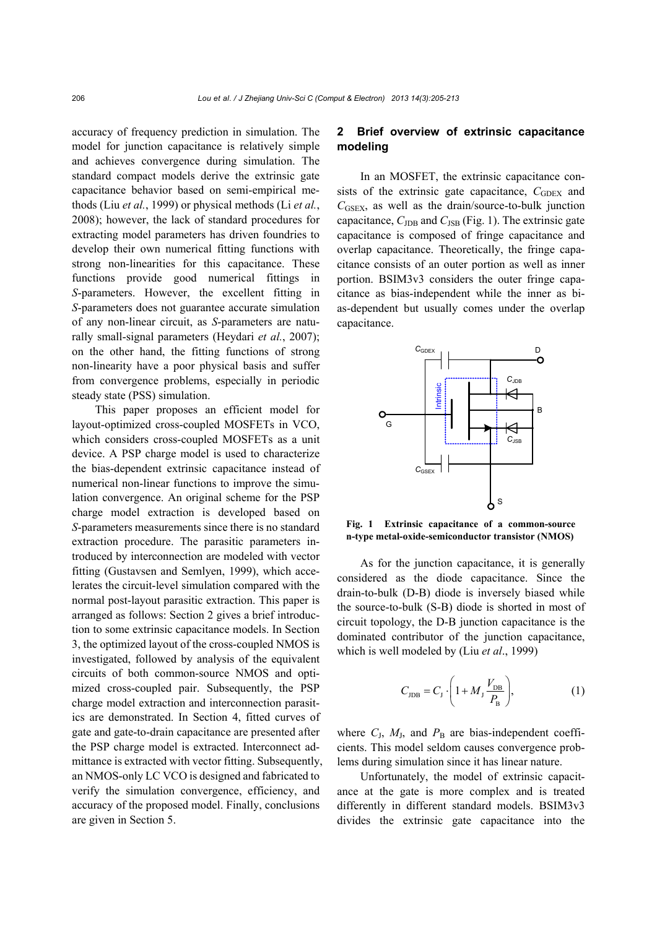accuracy of frequency prediction in simulation. The model for junction capacitance is relatively simple and achieves convergence during simulation. The standard compact models derive the extrinsic gate capacitance behavior based on semi-empirical methods (Liu *et al.*, 1999) or physical methods (Li *et al.*, 2008); however, the lack of standard procedures for extracting model parameters has driven foundries to develop their own numerical fitting functions with strong non-linearities for this capacitance. These functions provide good numerical fittings in *S*-parameters. However, the excellent fitting in *S*-parameters does not guarantee accurate simulation of any non-linear circuit, as *S*-parameters are naturally small-signal parameters (Heydari *et al.*, 2007); on the other hand, the fitting functions of strong non-linearity have a poor physical basis and suffer from convergence problems, especially in periodic steady state (PSS) simulation.

This paper proposes an efficient model for layout-optimized cross-coupled MOSFETs in VCO, which considers cross-coupled MOSFETs as a unit device. A PSP charge model is used to characterize the bias-dependent extrinsic capacitance instead of numerical non-linear functions to improve the simulation convergence. An original scheme for the PSP charge model extraction is developed based on *S*-parameters measurements since there is no standard extraction procedure. The parasitic parameters introduced by interconnection are modeled with vector fitting (Gustavsen and Semlyen, 1999), which accelerates the circuit-level simulation compared with the normal post-layout parasitic extraction. This paper is arranged as follows: Section 2 gives a brief introduction to some extrinsic capacitance models. In Section 3, the optimized layout of the cross-coupled NMOS is investigated, followed by analysis of the equivalent circuits of both common-source NMOS and optimized cross-coupled pair. Subsequently, the PSP charge model extraction and interconnection parasitics are demonstrated. In Section 4, fitted curves of gate and gate-to-drain capacitance are presented after the PSP charge model is extracted. Interconnect admittance is extracted with vector fitting. Subsequently, an NMOS-only LC VCO is designed and fabricated to verify the simulation convergence, efficiency, and accuracy of the proposed model. Finally, conclusions are given in Section 5.

## **2 Brief overview of extrinsic capacitance modeling**

In an MOSFET, the extrinsic capacitance consists of the extrinsic gate capacitance,  $C_{\text{GDEX}}$  and  $C<sub>GSEX</sub>$ , as well as the drain/source-to-bulk junction capacitance,  $C_{\text{JDB}}$  and  $C_{\text{JSB}}$  (Fig. 1). The extrinsic gate capacitance is composed of fringe capacitance and overlap capacitance. Theoretically, the fringe capacitance consists of an outer portion as well as inner portion. BSIM3v3 considers the outer fringe capacitance as bias-independent while the inner as bias-dependent but usually comes under the overlap capacitance.



**Fig. 1 Extrinsic capacitance of a common-source n-type metal-oxide-semiconductor transistor (NMOS)**

As for the junction capacitance, it is generally considered as the diode capacitance. Since the drain-to-bulk (D-B) diode is inversely biased while the source-to-bulk (S-B) diode is shorted in most of circuit topology, the D-B junction capacitance is the dominated contributor of the junction capacitance, which is well modeled by (Liu *et al*., 1999)

$$
C_{\text{JDB}} = C_{\text{J}} \cdot \left( 1 + M_{\text{J}} \frac{V_{\text{DB}}}{P_{\text{B}}} \right),\tag{1}
$$

where  $C_J$ ,  $M_J$ , and  $P_B$  are bias-independent coefficients. This model seldom causes convergence problems during simulation since it has linear nature.

Unfortunately, the model of extrinsic capacitance at the gate is more complex and is treated differently in different standard models. BSIM3v3 divides the extrinsic gate capacitance into the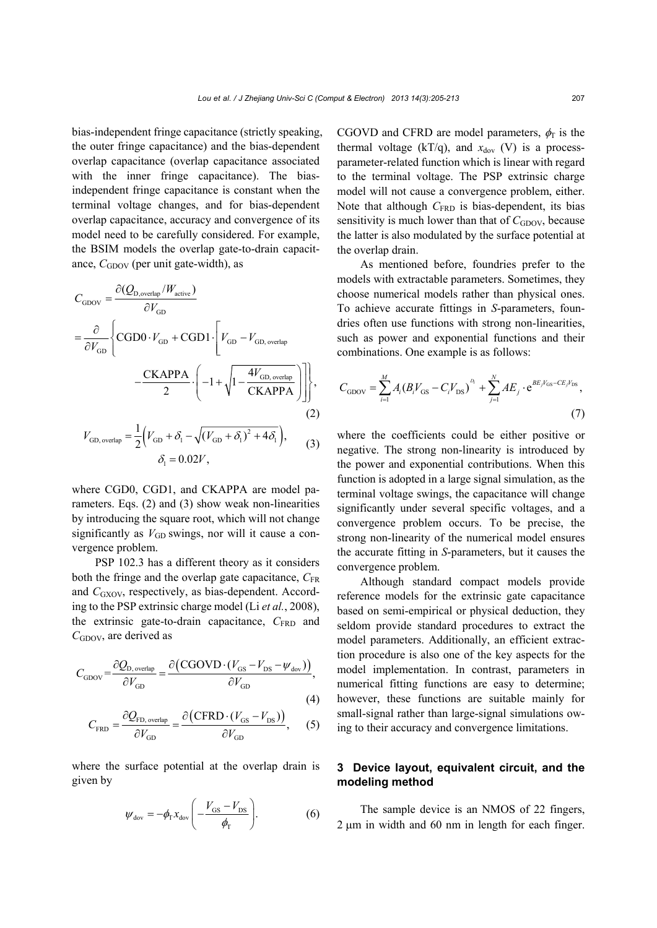bias-independent fringe capacitance (strictly speaking, the outer fringe capacitance) and the bias-dependent overlap capacitance (overlap capacitance associated with the inner fringe capacitance). The biasindependent fringe capacitance is constant when the terminal voltage changes, and for bias-dependent overlap capacitance, accuracy and convergence of its model need to be carefully considered. For example, the BSIM models the overlap gate-to-drain capacitance, *C*<sub>GDOV</sub> (per unit gate-width), as

$$
C_{\text{GDOV}} = \frac{\partial (Q_{\text{D,overlap}}/W_{\text{active}})}{\partial V_{\text{GD}}}
$$
  
=  $\frac{\partial}{\partial V_{\text{GD}}}\left\{ \text{CGD0} \cdot V_{\text{GD}} + \text{CGD1} \cdot \left[ V_{\text{GD}} - V_{\text{GD, overlap}} \right] - \frac{\text{CKAPPA}}{2} \cdot \left( -1 + \sqrt{1 - \frac{4V_{\text{GD, overlap}}}{\text{CKAPPA}}} \right) \right\},$   

$$
V_{\text{GD, overlap}} = \frac{1}{2} \left( V_{\text{GD}} + \delta_1 - \sqrt{(V_{\text{GD}} + \delta_1)^2 + 4\delta_1} \right),
$$
 (3)

where CGD0, CGD1, and CKAPPA are model parameters. Eqs. (2) and (3) show weak non-linearities by introducing the square root, which will not change significantly as 
$$
V_{GD}
$$
 swings, nor will it cause a convergence problem.

 $\delta_1 = 0.02 V,$ 

PSP 102.3 has a different theory as it considers both the fringe and the overlap gate capacitance,  $C_{FR}$ and *C*<sub>GXOV</sub>, respectively, as bias-dependent. According to the PSP extrinsic charge model (Li *et al.*, 2008), the extrinsic gate-to-drain capacitance,  $C_{\text{FRD}}$  and *C*<sub>GDOV</sub>, are derived as

$$
C_{\rm{GDOV}} = \frac{\partial Q_{\rm{D, overlap}}}{\partial V_{\rm{GD}}} = \frac{\partial (\text{CGOVD} \cdot (V_{\rm{GS}} - V_{\rm{DS}} - \psi_{\rm{dov}}))}{\partial V_{\rm{GD}}},\tag{4}
$$

$$
C_{\text{FRD}} = \frac{\partial Q_{\text{FD, overlap}}}{\partial V_{\text{GD}}} = \frac{\partial (\text{CFRD} \cdot (V_{\text{GS}} - V_{\text{DS}}))}{\partial V_{\text{GD}}}, \quad (5)
$$

where the surface potential at the overlap drain is given by

$$
\psi_{\rm dov} = -\phi_{\rm r} x_{\rm dov} \left( -\frac{V_{\rm GS} - V_{\rm DS}}{\phi_{\rm r}} \right). \tag{6}
$$

CGOVD and CFRD are model parameters,  $\phi_{\Gamma}$  is the thermal voltage (kT/q), and  $x_{\text{dov}}$  (V) is a processparameter-related function which is linear with regard to the terminal voltage. The PSP extrinsic charge model will not cause a convergence problem, either. Note that although  $C_{\text{FRD}}$  is bias-dependent, its bias sensitivity is much lower than that of *C*<sub>GDOV</sub>, because the latter is also modulated by the surface potential at the overlap drain.

As mentioned before, foundries prefer to the models with extractable parameters. Sometimes, they choose numerical models rather than physical ones. To achieve accurate fittings in *S*-parameters, foundries often use functions with strong non-linearities, such as power and exponential functions and their combinations. One example is as follows:

$$
C_{\rm GDOV} = \sum_{i=1}^{M} A_i (B_i V_{\rm GS} - C_i V_{\rm DS})^{D_i} + \sum_{j=1}^{N} A E_j \cdot e^{BE_j V_{\rm GS} - CE_j V_{\rm DS}},
$$
\n(7)

where the coefficients could be either positive or negative. The strong non-linearity is introduced by the power and exponential contributions. When this function is adopted in a large signal simulation, as the terminal voltage swings, the capacitance will change significantly under several specific voltages, and a convergence problem occurs. To be precise, the strong non-linearity of the numerical model ensures the accurate fitting in *S*-parameters, but it causes the convergence problem.

Although standard compact models provide reference models for the extrinsic gate capacitance based on semi-empirical or physical deduction, they seldom provide standard procedures to extract the model parameters. Additionally, an efficient extraction procedure is also one of the key aspects for the model implementation. In contrast, parameters in numerical fitting functions are easy to determine; however, these functions are suitable mainly for small-signal rather than large-signal simulations owing to their accuracy and convergence limitations.

## **3 Device layout, equivalent circuit, and the modeling method**

The sample device is an NMOS of 22 fingers,  $2 \mu m$  in width and 60 nm in length for each finger.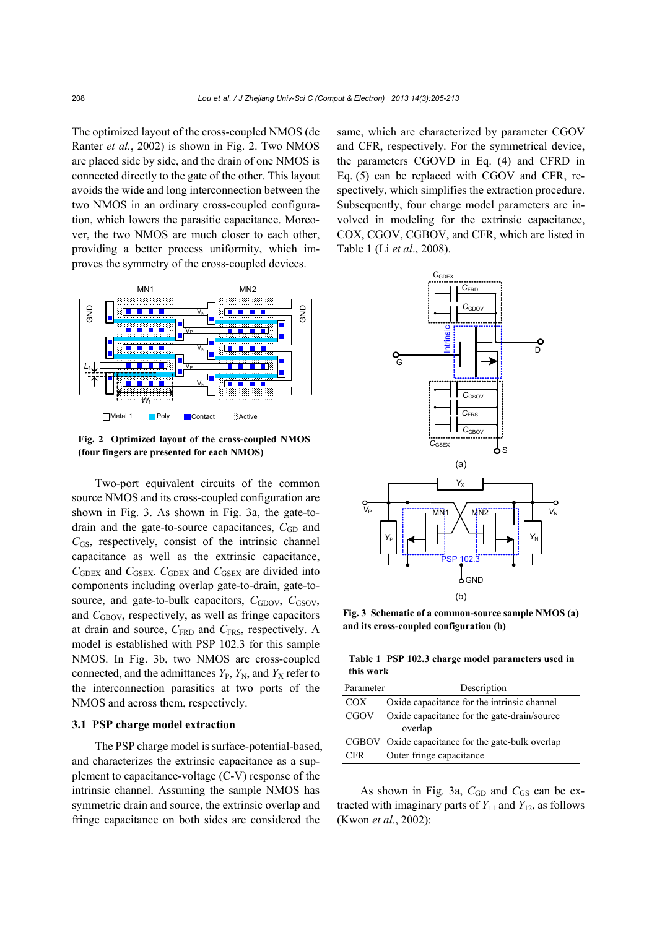The optimized layout of the cross-coupled NMOS (de Ranter *et al.*, 2002) is shown in Fig. 2. Two NMOS are placed side by side, and the drain of one NMOS is connected directly to the gate of the other. This layout avoids the wide and long interconnection between the two NMOS in an ordinary cross-coupled configuration, which lowers the parasitic capacitance. Moreover, the two NMOS are much closer to each other, providing a better process uniformity, which improves the symmetry of the cross-coupled devices.



**Fig. 2 Optimized layout of the cross-coupled NMOS (four fingers are presented for each NMOS)** 

Two-port equivalent circuits of the common source NMOS and its cross-coupled configuration are shown in Fig. 3. As shown in Fig. 3a, the gate-todrain and the gate-to-source capacitances, C<sub>GD</sub> and *C*GS, respectively, consist of the intrinsic channel capacitance as well as the extrinsic capacitance, *C*GDEX and *C*GSEX. *C*GDEX and *C*GSEX are divided into components including overlap gate-to-drain, gate-tosource, and gate-to-bulk capacitors,  $C_{\text{GDOV}}$ ,  $C_{\text{GSOV}}$ , and *C*<sub>GBOV</sub>, respectively, as well as fringe capacitors at drain and source,  $C_{FRD}$  and  $C_{FRS}$ , respectively. A model is established with PSP 102.3 for this sample NMOS. In Fig. 3b, two NMOS are cross-coupled connected, and the admittances  $Y_{P}$ ,  $Y_{N}$ , and  $Y_{X}$  refer to the interconnection parasitics at two ports of the NMOS and across them, respectively.

## **3.1 PSP charge model extraction**

The PSP charge model is surface-potential-based, and characterizes the extrinsic capacitance as a supplement to capacitance-voltage (C-V) response of the intrinsic channel. Assuming the sample NMOS has symmetric drain and source, the extrinsic overlap and fringe capacitance on both sides are considered the

same, which are characterized by parameter CGOV and CFR, respectively. For the symmetrical device, the parameters CGOVD in Eq. (4) and CFRD in Eq. (5) can be replaced with CGOV and CFR, respectively, which simplifies the extraction procedure. Subsequently, four charge model parameters are involved in modeling for the extrinsic capacitance, COX, CGOV, CGBOV, and CFR, which are listed in Table 1 (Li *et al*., 2008).



**Fig. 3 Schematic of a common-source sample NMOS (a) and its cross-coupled configuration (b)** 

**Table 1 PSP 102.3 charge model parameters used in this work** 

| Parameter   | Description                                       |
|-------------|---------------------------------------------------|
| COX         | Oxide capacitance for the intrinsic channel       |
| <b>CGOV</b> | Oxide capacitance for the gate-drain/source       |
|             | overlap                                           |
|             | CGBOV Oxide capacitance for the gate-bulk overlap |
| <b>CFR</b>  | Outer fringe capacitance                          |
|             |                                                   |

As shown in Fig. 3a,  $C_{GD}$  and  $C_{GS}$  can be extracted with imaginary parts of  $Y_{11}$  and  $Y_{12}$ , as follows (Kwon *et al.*, 2002):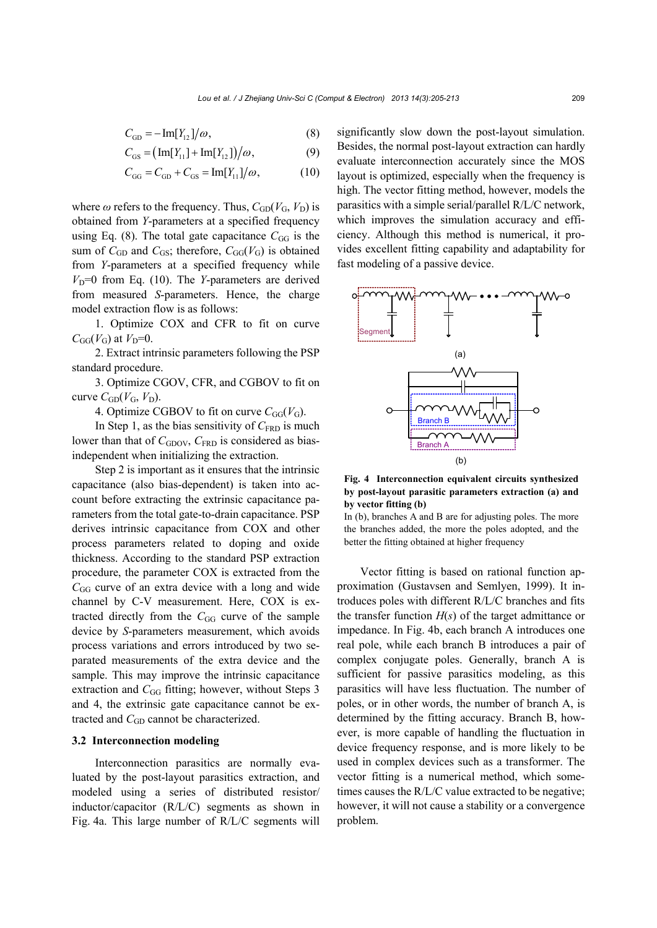$$
C_{GD} = -\operatorname{Im}[Y_{12}]/\omega,\tag{8}
$$

$$
C_{GS} = (\text{Im}[Y_{11}] + \text{Im}[Y_{12}])/\omega, \tag{9}
$$

$$
C_{GG} = C_{GD} + C_{GS} = \text{Im}[Y_{11}]/\omega,
$$
 (10)

where  $\omega$  refers to the frequency. Thus,  $C_{GD}(V_G, V_D)$  is obtained from *Y*-parameters at a specified frequency using Eq. (8). The total gate capacitance  $C_{GG}$  is the sum of  $C_{GD}$  and  $C_{GS}$ ; therefore,  $C_{GG}(V_G)$  is obtained from *Y*-parameters at a specified frequency while  $V<sub>D</sub>=0$  from Eq. (10). The *Y*-parameters are derived from measured *S*-parameters. Hence, the charge model extraction flow is as follows:

1. Optimize COX and CFR to fit on curve  $C_{GG}(V_G)$  at  $V_D=0$ .

2. Extract intrinsic parameters following the PSP standard procedure.

3. Optimize CGOV, CFR, and CGBOV to fit on curve  $C_{GD}(V_G, V_D)$ .

4. Optimize CGBOV to fit on curve  $C_{GG}(V_G)$ .

In Step 1, as the bias sensitivity of  $C_{\text{FRD}}$  is much lower than that of  $C_{\text{GDOV}}$ ,  $C_{\text{FRD}}$  is considered as biasindependent when initializing the extraction.

Step 2 is important as it ensures that the intrinsic capacitance (also bias-dependent) is taken into account before extracting the extrinsic capacitance parameters from the total gate-to-drain capacitance. PSP derives intrinsic capacitance from COX and other process parameters related to doping and oxide thickness. According to the standard PSP extraction procedure, the parameter COX is extracted from the  $C_{GG}$  curve of an extra device with a long and wide channel by C-V measurement. Here, COX is extracted directly from the C<sub>GG</sub> curve of the sample device by *S*-parameters measurement, which avoids process variations and errors introduced by two separated measurements of the extra device and the sample. This may improve the intrinsic capacitance extraction and *C*<sub>GG</sub> fitting; however, without Steps 3 and 4, the extrinsic gate capacitance cannot be extracted and *C<sub>GD</sub>* cannot be characterized.

#### **3.2 Interconnection modeling**

Interconnection parasitics are normally evaluated by the post-layout parasitics extraction, and modeled using a series of distributed resistor/ inductor/capacitor (R/L/C) segments as shown in Fig. 4a. This large number of R/L/C segments will significantly slow down the post-layout simulation. Besides, the normal post-layout extraction can hardly evaluate interconnection accurately since the MOS layout is optimized, especially when the frequency is high. The vector fitting method, however, models the parasitics with a simple serial/parallel R/L/C network, which improves the simulation accuracy and efficiency. Although this method is numerical, it provides excellent fitting capability and adaptability for fast modeling of a passive device.



**Fig. 4 Interconnection equivalent circuits synthesized by post-layout parasitic parameters extraction (a) and by vector fitting (b)** 

In (b), branches A and B are for adjusting poles. The more the branches added, the more the poles adopted, and the better the fitting obtained at higher frequency

Vector fitting is based on rational function approximation (Gustavsen and Semlyen, 1999). It introduces poles with different R/L/C branches and fits the transfer function  $H(s)$  of the target admittance or impedance. In Fig. 4b, each branch A introduces one real pole, while each branch B introduces a pair of complex conjugate poles. Generally, branch A is sufficient for passive parasitics modeling, as this parasitics will have less fluctuation. The number of poles, or in other words, the number of branch A, is determined by the fitting accuracy. Branch B, however, is more capable of handling the fluctuation in device frequency response, and is more likely to be used in complex devices such as a transformer. The vector fitting is a numerical method, which sometimes causes the R/L/C value extracted to be negative; however, it will not cause a stability or a convergence problem.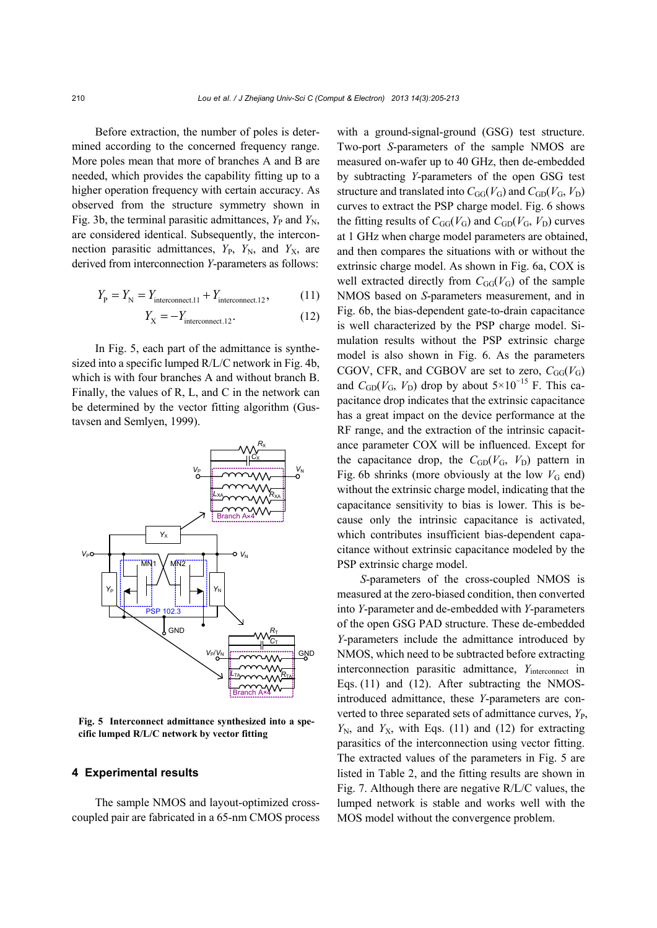Before extraction, the number of poles is determined according to the concerned frequency range. More poles mean that more of branches A and B are needed, which provides the capability fitting up to a higher operation frequency with certain accuracy. As observed from the structure symmetry shown in Fig. 3b, the terminal parasitic admittances,  $Y_P$  and  $Y_N$ , are considered identical. Subsequently, the interconnection parasitic admittances,  $Y_{P}$ ,  $Y_{N}$ , and  $Y_{X}$ , are derived from interconnection *Y*-parameters as follows:

$$
Y_{\rm p} = Y_{\rm N} = Y_{\rm interconnect.11} + Y_{\rm interconnect.12},\tag{11}
$$

$$
Y_{\rm X} = -Y_{\rm interconnect.12}.\tag{12}
$$

In Fig. 5, each part of the admittance is synthesized into a specific lumped R/L/C network in Fig. 4b, which is with four branches A and without branch B. Finally, the values of R, L, and C in the network can be determined by the vector fitting algorithm (Gustavsen and Semlyen, 1999).



**Fig. 5 Interconnect admittance synthesized into a specific lumped R/L/C network by vector fitting**

#### **4 Experimental results**

The sample NMOS and layout-optimized crosscoupled pair are fabricated in a 65-nm CMOS process with a ground-signal-ground (GSG) test structure. Two-port *S*-parameters of the sample NMOS are measured on-wafer up to 40 GHz, then de-embedded by subtracting *Y*-parameters of the open GSG test structure and translated into  $C_{GG}(V_G)$  and  $C_{GD}(V_G, V_D)$ curves to extract the PSP charge model. Fig. 6 shows the fitting results of  $C_{GG}(V_G)$  and  $C_{GD}(V_G, V_D)$  curves at 1 GHz when charge model parameters are obtained, and then compares the situations with or without the extrinsic charge model. As shown in Fig. 6a, COX is well extracted directly from  $C_{GG}(V_G)$  of the sample NMOS based on *S*-parameters measurement, and in Fig. 6b, the bias-dependent gate-to-drain capacitance is well characterized by the PSP charge model. Simulation results without the PSP extrinsic charge model is also shown in Fig. 6. As the parameters CGOV, CFR, and CGBOV are set to zero,  $C_{GG}(V_G)$ and  $C_{GD}(V_G, V_D)$  drop by about  $5 \times 10^{-15}$  F. This capacitance drop indicates that the extrinsic capacitance has a great impact on the device performance at the RF range, and the extraction of the intrinsic capacitance parameter COX will be influenced. Except for the capacitance drop, the  $C_{GD}(V_G, V_D)$  pattern in Fig. 6b shrinks (more obviously at the low  $V_G$  end) without the extrinsic charge model, indicating that the capacitance sensitivity to bias is lower. This is because only the intrinsic capacitance is activated, which contributes insufficient bias-dependent capacitance without extrinsic capacitance modeled by the PSP extrinsic charge model.

*S*-parameters of the cross-coupled NMOS is measured at the zero-biased condition, then converted into *Y*-parameter and de-embedded with *Y*-parameters of the open GSG PAD structure. These de-embedded *Y*-parameters include the admittance introduced by NMOS, which need to be subtracted before extracting interconnection parasitic admittance, *Y*<sub>interconnect</sub> in Eqs. (11) and (12). After subtracting the NMOSintroduced admittance, these *Y*-parameters are converted to three separated sets of admittance curves,  $Y_{\text{P}}$ ,  $Y_N$ , and  $Y_X$ , with Eqs. (11) and (12) for extracting parasitics of the interconnection using vector fitting. The extracted values of the parameters in Fig. 5 are listed in Table 2, and the fitting results are shown in Fig. 7. Although there are negative R/L/C values, the lumped network is stable and works well with the MOS model without the convergence problem.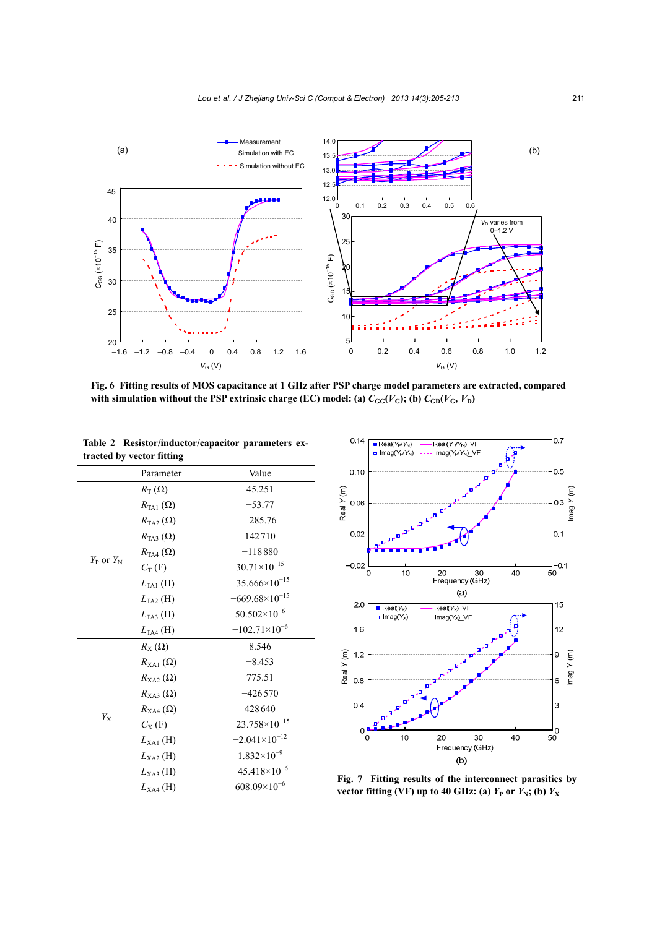

**Fig. 6 Fitting results of MOS capacitance at 1 GHz after PSP charge model parameters are extracted, compared** with simulation without the PSP extrinsic charge (EC) model: (a)  $C_{GG}(V_G)$ ; (b)  $C_{GD}(V_G, V_D)$ 

**Table 2 Resistor/inductor/capacitor parameters extracted by vector fitting** 

|                    | Parameter                | Value                   |
|--------------------|--------------------------|-------------------------|
|                    | $R_{\rm T}(\Omega)$      | 45.251                  |
|                    | $R_{\text{TA1}}(\Omega)$ | $-53.77$                |
|                    | $R_{\text{TA2}}(\Omega)$ | $-285.76$               |
|                    | $R_{\text{TA}3}(\Omega)$ | 142710                  |
|                    | $R_{\text{TA4}}(\Omega)$ | $-118880$               |
| $Y_{P}$ or $Y_{N}$ | $C_{\rm T}$ (F)          | $30.71\times10^{-15}$   |
|                    | $L_{\text{TA1}}$ (H)     | $-35.666\times10^{-15}$ |
|                    | $L_{TA2}$ (H)            | $-669.68\times10^{-15}$ |
|                    | $L_{TA3}$ (H)            | $50.502\times10^{-6}$   |
|                    | $L_{TA4}$ (H)            | $-102.71\times10^{-6}$  |
|                    | $R_{\rm X}(\Omega)$      | 8.546                   |
|                    | $R_{\text{XA1}}(\Omega)$ | $-8.453$                |
|                    | $R_{X_A2}(\Omega)$       | 775.51                  |
|                    | $R_{\text{XA3}}(\Omega)$ | $-426570$               |
|                    | $R_{\text{XA4}}(\Omega)$ | 428640                  |
| $Y_{\rm X}$        | $C_{\rm X}$ (F)          | $-23.758\times10^{-15}$ |
|                    | $L_{\text{XA1}}$ (H)     | $-2.041\times10^{-12}$  |
|                    | $L_{X_A2}$ (H)           | $1.832\times10^{-9}$    |
|                    | $L_{\text{XA3}}$ (H)     | $-45.418\times10^{-6}$  |
|                    | $L_{XAA}$ (H)            | $608.09\times10^{-6}$   |



**Fig. 7 Fitting results of the interconnect parasitics by**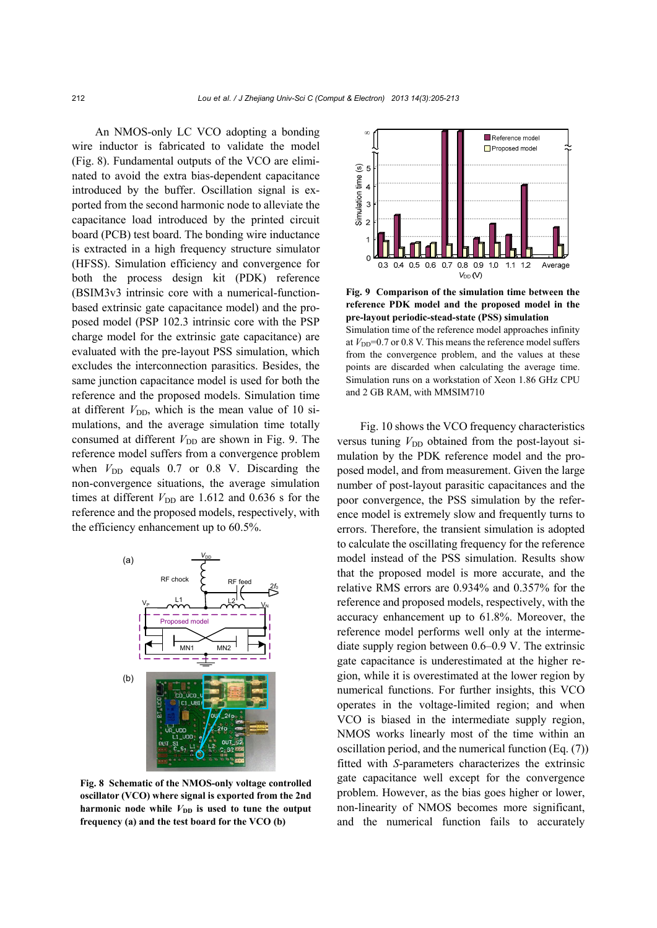An NMOS-only LC VCO adopting a bonding wire inductor is fabricated to validate the model (Fig. 8). Fundamental outputs of the VCO are eliminated to avoid the extra bias-dependent capacitance introduced by the buffer. Oscillation signal is exported from the second harmonic node to alleviate the capacitance load introduced by the printed circuit board (PCB) test board. The bonding wire inductance is extracted in a high frequency structure simulator (HFSS). Simulation efficiency and convergence for both the process design kit (PDK) reference (BSIM3v3 intrinsic core with a numerical-functionbased extrinsic gate capacitance model) and the proposed model (PSP 102.3 intrinsic core with the PSP charge model for the extrinsic gate capacitance) are evaluated with the pre-layout PSS simulation, which excludes the interconnection parasitics. Besides, the same junction capacitance model is used for both the reference and the proposed models. Simulation time at different  $V_{\text{DD}}$ , which is the mean value of 10 simulations, and the average simulation time totally consumed at different  $V_{\text{DD}}$  are shown in Fig. 9. The reference model suffers from a convergence problem when  $V_{\text{DD}}$  equals 0.7 or 0.8 V. Discarding the non-convergence situations, the average simulation times at different  $V_{\text{DD}}$  are 1.612 and 0.636 s for the reference and the proposed models, respectively, with the efficiency enhancement up to 60.5%.



**Fig. 8 Schematic of the NMOS-only voltage controlled oscillator (VCO) where signal is exported from the 2nd** harmonic node while  $V_{\text{DD}}$  is used to tune the output **frequency (a) and the test board for the VCO (b)** 



**Fig. 9 Comparison of the simulation time between the reference PDK model and the proposed model in the pre-layout periodic-stead-state (PSS) simulation**  Simulation time of the reference model approaches infinity at  $V_{\text{DD}}$ =0.7 or 0.8 V. This means the reference model suffers from the convergence problem, and the values at these points are discarded when calculating the average time. Simulation runs on a workstation of Xeon 1.86 GHz CPU and 2 GB RAM, with MMSIM710

Fig. 10 shows the VCO frequency characteristics versus tuning  $V_{\text{DD}}$  obtained from the post-layout simulation by the PDK reference model and the proposed model, and from measurement. Given the large number of post-layout parasitic capacitances and the poor convergence, the PSS simulation by the reference model is extremely slow and frequently turns to errors. Therefore, the transient simulation is adopted to calculate the oscillating frequency for the reference model instead of the PSS simulation. Results show that the proposed model is more accurate, and the relative RMS errors are 0.934% and 0.357% for the reference and proposed models, respectively, with the accuracy enhancement up to 61.8%. Moreover, the reference model performs well only at the intermediate supply region between 0.6–0.9 V. The extrinsic gate capacitance is underestimated at the higher region, while it is overestimated at the lower region by numerical functions. For further insights, this VCO operates in the voltage-limited region; and when VCO is biased in the intermediate supply region, NMOS works linearly most of the time within an oscillation period, and the numerical function (Eq. (7)) fitted with *S*-parameters characterizes the extrinsic gate capacitance well except for the convergence problem. However, as the bias goes higher or lower, non-linearity of NMOS becomes more significant, and the numerical function fails to accurately